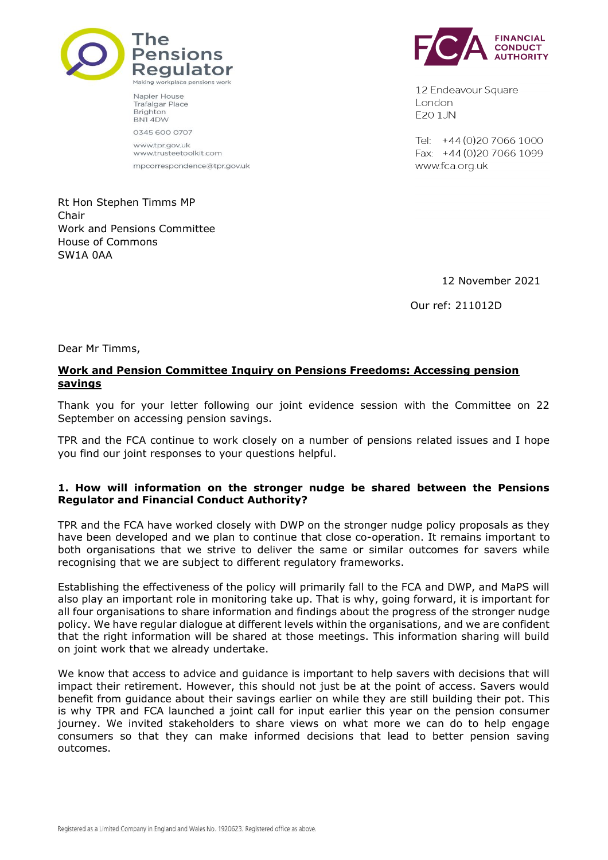

Napier House

BN14DW 0345 600 0707

**Trafalgar Place** Brighton

www.tpr.gov.uk www.trusteetoolkit.com

mpcorrespondence@tpr.gov.uk

**FINANCIAL CONDUCT** 

12 Endeavour Square London E201JN

Tel: +44 (0) 20 7066 1000 Fax: +44 (0) 20 7066 1099 www.fca.org.uk

Rt Hon Stephen Timms MP Chair Work and Pensions Committee House of Commons SW1A 0AA

12 November 2021

Our ref: 211012D

Dear Mr Timms,

## **Work and Pension Committee Inquiry on Pensions Freedoms: Accessing pension savings**

Thank you for your letter following our joint evidence session with the Committee on 22 September on accessing pension savings.

TPR and the FCA continue to work closely on a number of pensions related issues and I hope you find our joint responses to your questions helpful.

## **1. How will information on the stronger nudge be shared between the Pensions Regulator and Financial Conduct Authority?**

TPR and the FCA have worked closely with DWP on the stronger nudge policy proposals as they have been developed and we plan to continue that close co-operation. It remains important to both organisations that we strive to deliver the same or similar outcomes for savers while recognising that we are subject to different regulatory frameworks.

Establishing the effectiveness of the policy will primarily fall to the FCA and DWP, and MaPS will also play an important role in monitoring take up. That is why, going forward, it is important for all four organisations to share information and findings about the progress of the stronger nudge policy. We have regular dialogue at different levels within the organisations, and we are confident that the right information will be shared at those meetings. This information sharing will build on joint work that we already undertake.

We know that access to advice and guidance is important to help savers with decisions that will impact their retirement. However, this should not just be at the point of access. Savers would benefit from guidance about their savings earlier on while they are still building their pot. This is why TPR and FCA launched a joint call for input earlier this year on the pension consumer journey. We invited stakeholders to share views on what more we can do to help engage consumers so that they can make informed decisions that lead to better pension saving outcomes.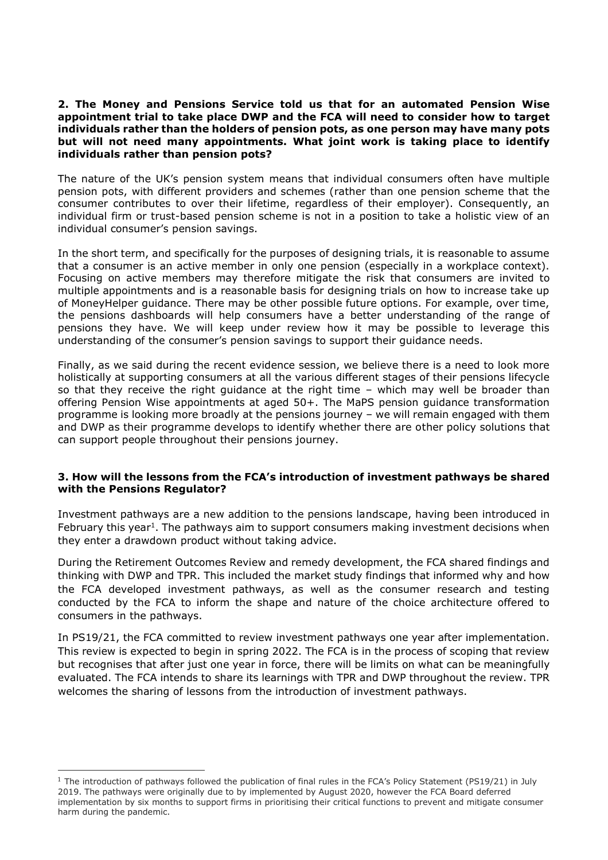## **2. The Money and Pensions Service told us that for an automated Pension Wise appointment trial to take place DWP and the FCA will need to consider how to target individuals rather than the holders of pension pots, as one person may have many pots but will not need many appointments. What joint work is taking place to identify individuals rather than pension pots?**

The nature of the UK's pension system means that individual consumers often have multiple pension pots, with different providers and schemes (rather than one pension scheme that the consumer contributes to over their lifetime, regardless of their employer). Consequently, an individual firm or trust-based pension scheme is not in a position to take a holistic view of an individual consumer's pension savings.

In the short term, and specifically for the purposes of designing trials, it is reasonable to assume that a consumer is an active member in only one pension (especially in a workplace context). Focusing on active members may therefore mitigate the risk that consumers are invited to multiple appointments and is a reasonable basis for designing trials on how to increase take up of MoneyHelper guidance. There may be other possible future options. For example, over time, the pensions dashboards will help consumers have a better understanding of the range of pensions they have. We will keep under review how it may be possible to leverage this understanding of the consumer's pension savings to support their guidance needs.

Finally, as we said during the recent evidence session, we believe there is a need to look more holistically at supporting consumers at all the various different stages of their pensions lifecycle so that they receive the right guidance at the right time – which may well be broader than offering Pension Wise appointments at aged 50+. The MaPS pension guidance transformation programme is looking more broadly at the pensions journey – we will remain engaged with them and DWP as their programme develops to identify whether there are other policy solutions that can support people throughout their pensions journey.

## **3. How will the lessons from the FCA's introduction of investment pathways be shared with the Pensions Regulator?**

Investment pathways are a new addition to the pensions landscape, having been introduced in February this year<sup>1</sup>. The pathways aim to support consumers making investment decisions when they enter a drawdown product without taking advice.

During the Retirement Outcomes Review and remedy development, the FCA shared findings and thinking with DWP and TPR. This included the market study findings that informed why and how the FCA developed investment pathways, as well as the consumer research and testing conducted by the FCA to inform the shape and nature of the choice architecture offered to consumers in the pathways.

In PS19/21, the FCA committed to review investment pathways one year after implementation. This review is expected to begin in spring 2022. The FCA is in the process of scoping that review but recognises that after just one year in force, there will be limits on what can be meaningfully evaluated. The FCA intends to share its learnings with TPR and DWP throughout the review. TPR welcomes the sharing of lessons from the introduction of investment pathways.

<sup>&</sup>lt;sup>1</sup> The introduction of pathways followed the publication of final rules in the FCA's Policy Statement (PS19/21) in July 2019. The pathways were originally due to by implemented by August 2020, however the FCA Board deferred implementation by six months to support firms in prioritising their critical functions to prevent and mitigate consumer harm during the pandemic.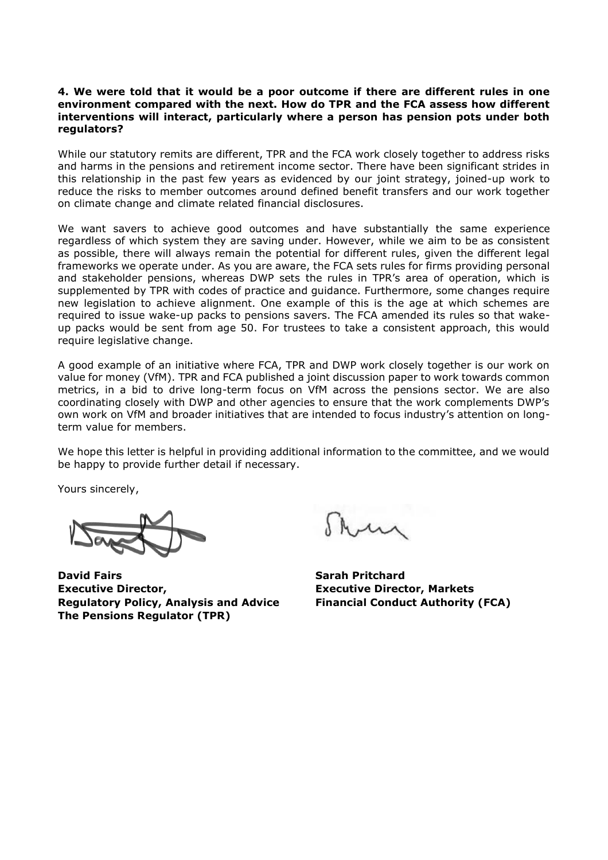#### **4. We were told that it would be a poor outcome if there are different rules in one environment compared with the next. How do TPR and the FCA assess how different interventions will interact, particularly where a person has pension pots under both regulators?**

While our statutory remits are different, TPR and the FCA work closely together to address risks and harms in the pensions and retirement income sector. There have been significant strides in this relationship in the past few years as evidenced by our joint strategy, joined-up work to reduce the risks to member outcomes around defined benefit transfers and our work together on climate change and climate related financial disclosures.

We want savers to achieve good outcomes and have substantially the same experience regardless of which system they are saving under. However, while we aim to be as consistent as possible, there will always remain the potential for different rules, given the different legal frameworks we operate under. As you are aware, the FCA sets rules for firms providing personal and stakeholder pensions, whereas DWP sets the rules in TPR's area of operation, which is supplemented by TPR with codes of practice and guidance. Furthermore, some changes require new legislation to achieve alignment. One example of this is the age at which schemes are required to issue wake-up packs to pensions savers. The FCA amended its rules so that wakeup packs would be sent from age 50. For trustees to take a consistent approach, this would require legislative change.

A good example of an initiative where FCA, TPR and DWP work closely together is our work on value for money (VfM). TPR and FCA published a joint discussion paper to work towards common metrics, in a bid to drive long-term focus on VfM across the pensions sector. We are also coordinating closely with DWP and other agencies to ensure that the work complements DWP's own work on VfM and broader initiatives that are intended to focus industry's attention on longterm value for members.

We hope this letter is helpful in providing additional information to the committee, and we would be happy to provide further detail if necessary.

Yours sincerely,

**David Fairs Sarah Pritchard Executive Director, Executive Director, Markets Regulatory Policy, Analysis and Advice Financial Conduct Authority (FCA) The Pensions Regulator (TPR)**